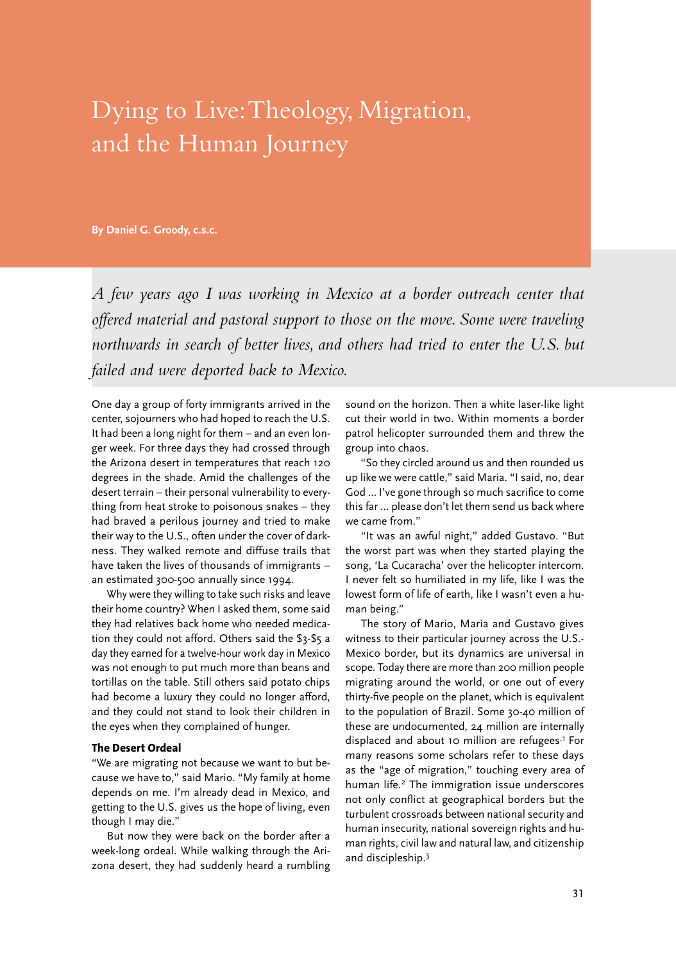# Dying to Live: Theology, Migration, and the Human Journey

**By Daniel G. Groody, c.s.c.** 

*A few years ago I was working in Mexico at a border outreach center that offered material and pastoral support to those on the move. Some were traveling northwards in search of better lives, and others had tried to enter the U.S. but failed and were deported back to Mexico.*

One day a group of forty immigrants arrived in the center, sojourners who had hoped to reach the U.S. It had been a long night for them – and an even longer week. For three days they had crossed through the Arizona desert in temperatures that reach 120 degrees in the shade. Amid the challenges of the desert terrain – their personal vulnerability to everything from heat stroke to poisonous snakes – they had braved a perilous journey and tried to make their way to the U.S., often under the cover of darkness. They walked remote and diffuse trails that have taken the lives of thousands of immigrants – an estimated 300-500 annually since 1994.

Why were they willing to take such risks and leave their home country? When I asked them, some said they had relatives back home who needed medication they could not afford. Others said the \$3-\$5 a day they earned for a twelve-hour work day in Mexico was not enough to put much more than beans and tortillas on the table. Still others said potato chips had become a luxury they could no longer afford, and they could not stand to look their children in the eyes when they complained of hunger.

## **The Desert Ordeal**

"We are migrating not because we want to but because we have to," said Mario. "My family at home depends on me. I'm already dead in Mexico, and getting to the U.S. gives us the hope of living, even though I may die."

But now they were back on the border after a week-long ordeal. While walking through the Arizona desert, they had suddenly heard a rumbling sound on the horizon. Then a white laser-like light cut their world in two. Within moments a border patrol helicopter surrounded them and threw the group into chaos.

"So they circled around us and then rounded us up like we were cattle," said Maria. "I said, no, dear God … I've gone through so much sacrifice to come this far … please don't let them send us back where we came from."

"It was an awful night," added Gustavo. "But the worst part was when they started playing the song, 'La Cucaracha' over the helicopter intercom. I never felt so humiliated in my life, like I was the lowest form of life of earth, like I wasn't even a human being."

The story of Mario, Maria and Gustavo gives witness to their particular journey across the U.S.- Mexico border, but its dynamics are universal in scope. Today there are more than 200 million people migrating around the world, or one out of every thirty-five people on the planet, which is equivalent to the population of Brazil. Some 30-40 million of these are undocumented, 24 million are internally displaced and about 10 million are refugees.1 For many reasons some scholars refer to these days as the "age of migration," touching every area of human life.<sup>2</sup> The immigration issue underscores not only conflict at geographical borders but the turbulent crossroads between national security and human insecurity, national sovereign rights and human rights, civil law and natural law, and citizenship and discipleship.3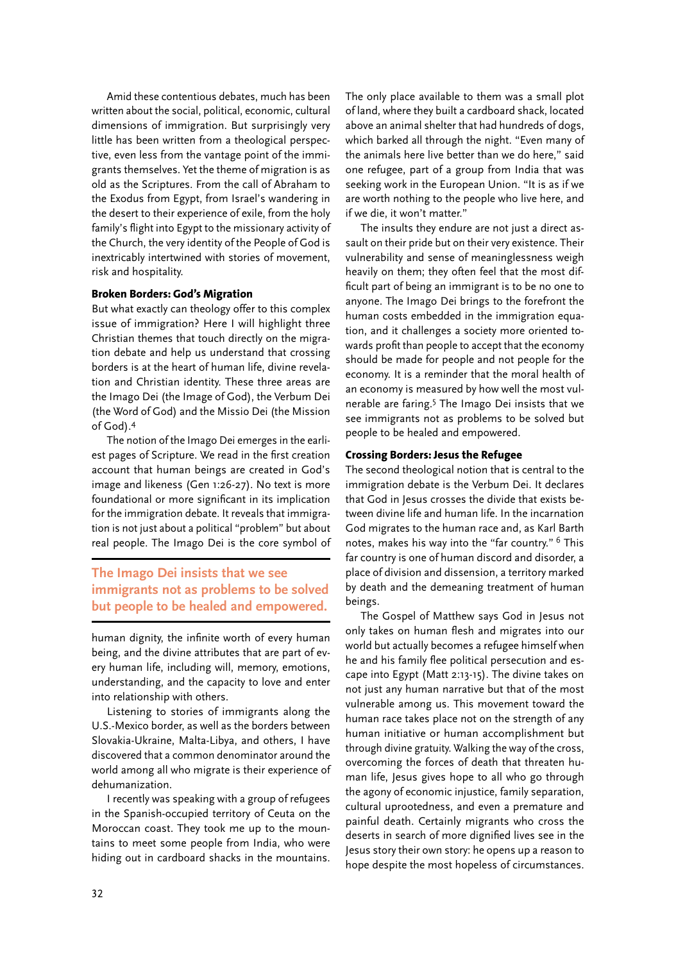Amid these contentious debates, much has been written about the social, political, economic, cultural dimensions of immigration. But surprisingly very little has been written from a theological perspective, even less from the vantage point of the immigrants themselves. Yet the theme of migration is as old as the Scriptures. From the call of Abraham to the Exodus from Egypt, from Israel's wandering in the desert to their experience of exile, from the holy family's flight into Egypt to the missionary activity of the Church, the very identity of the People of God is inextricably intertwined with stories of movement, risk and hospitality.

## **Broken Borders: God's Migration**

But what exactly can theology offer to this complex issue of immigration? Here I will highlight three Christian themes that touch directly on the migration debate and help us understand that crossing borders is at the heart of human life, divine revelation and Christian identity. These three areas are the Imago Dei (the Image of God), the Verbum Dei (the Word of God) and the Missio Dei (the Mission of God).4

The notion of the Imago Dei emerges in the earliest pages of Scripture. We read in the first creation account that human beings are created in God's image and likeness (Gen 1:26-27). No text is more foundational or more significant in its implication for the immigration debate. It reveals that immigration is not just about a political "problem" but about real people. The Imago Dei is the core symbol of

# **The Imago Dei insists that we see immigrants not as problems to be solved but people to be healed and empowered.**

human dignity, the infinite worth of every human being, and the divine attributes that are part of every human life, including will, memory, emotions, understanding, and the capacity to love and enter into relationship with others.

Listening to stories of immigrants along the U.S.-Mexico border, as well as the borders between Slovakia-Ukraine, Malta-Libya, and others, I have discovered that a common denominator around the world among all who migrate is their experience of dehumanization.

I recently was speaking with a group of refugees in the Spanish-occupied territory of Ceuta on the Moroccan coast. They took me up to the mountains to meet some people from India, who were hiding out in cardboard shacks in the mountains. The only place available to them was a small plot of land, where they built a cardboard shack, located above an animal shelter that had hundreds of dogs, which barked all through the night. "Even many of the animals here live better than we do here," said one refugee, part of a group from India that was seeking work in the European Union. "It is as if we are worth nothing to the people who live here, and if we die, it won't matter."

The insults they endure are not just a direct assault on their pride but on their very existence. Their vulnerability and sense of meaninglessness weigh heavily on them; they often feel that the most difficult part of being an immigrant is to be no one to anyone. The Imago Dei brings to the forefront the human costs embedded in the immigration equation, and it challenges a society more oriented towards profit than people to accept that the economy should be made for people and not people for the economy. It is a reminder that the moral health of an economy is measured by how well the most vulnerable are faring.<sup>5</sup> The Imago Dei insists that we see immigrants not as problems to be solved but people to be healed and empowered.

### **Crossing Borders: Jesus the Refugee**

The second theological notion that is central to the immigration debate is the Verbum Dei. It declares that God in Jesus crosses the divide that exists between divine life and human life. In the incarnation God migrates to the human race and, as Karl Barth notes, makes his way into the "far country." 6 This far country is one of human discord and disorder, a place of division and dissension, a territory marked by death and the demeaning treatment of human beings.

The Gospel of Matthew says God in Jesus not only takes on human flesh and migrates into our world but actually becomes a refugee himself when he and his family flee political persecution and escape into Egypt (Matt 2:13-15). The divine takes on not just any human narrative but that of the most vulnerable among us. This movement toward the human race takes place not on the strength of any human initiative or human accomplishment but through divine gratuity. Walking the way of the cross, overcoming the forces of death that threaten human life, Jesus gives hope to all who go through the agony of economic injustice, family separation, cultural uprootedness, and even a premature and painful death. Certainly migrants who cross the deserts in search of more dignified lives see in the Jesus story their own story: he opens up a reason to hope despite the most hopeless of circumstances.